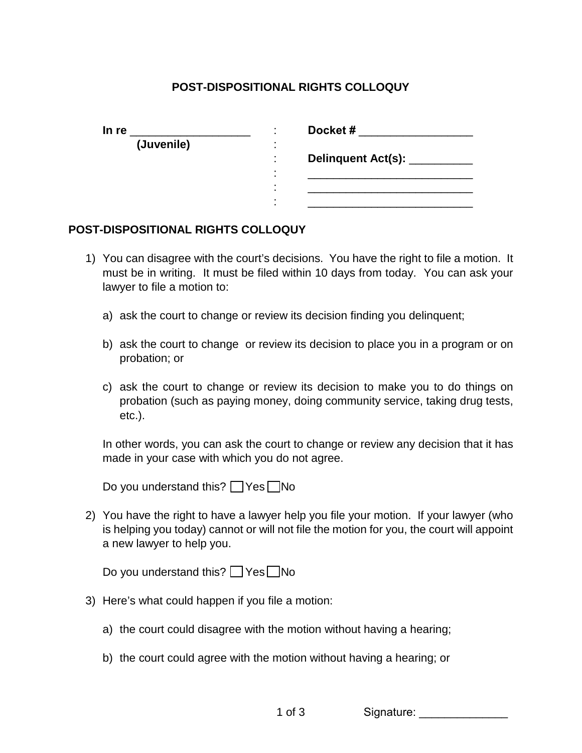## **POST-DISPOSITIONAL RIGHTS COLLOQUY**

| In re      | Docket#              |
|------------|----------------------|
| (Juvenile) |                      |
|            | Delinquent Act(s): _ |
|            |                      |
|            |                      |
|            |                      |

## **POST-DISPOSITIONAL RIGHTS COLLOQUY**

- 1) You can disagree with the court's decisions. You have the right to file a motion. It must be in writing. It must be filed within 10 days from today. You can ask your lawyer to file a motion to:
	- a) ask the court to change or review its decision finding you delinquent;
	- b) ask the court to change or review its decision to place you in a program or on probation; or
	- c) ask the court to change or review its decision to make you to do things on probation (such as paying money, doing community service, taking drug tests, etc.).

In other words, you can ask the court to change or review any decision that it has made in your case with which you do not agree.

Do you understand this?  $\Box$  Yes  $\Box$  No

2) You have the right to have a lawyer help you file your motion. If your lawyer (who is helping you today) cannot or will not file the motion for you, the court will appoint a new lawyer to help you.

Do you understand this?  $\Box$  Yes  $\Box$  No

- 3) Here's what could happen if you file a motion:
	- a) the court could disagree with the motion without having a hearing;
	- b) the court could agree with the motion without having a hearing; or

1 of 3 Signature: \_\_\_\_\_\_\_\_\_\_\_\_\_\_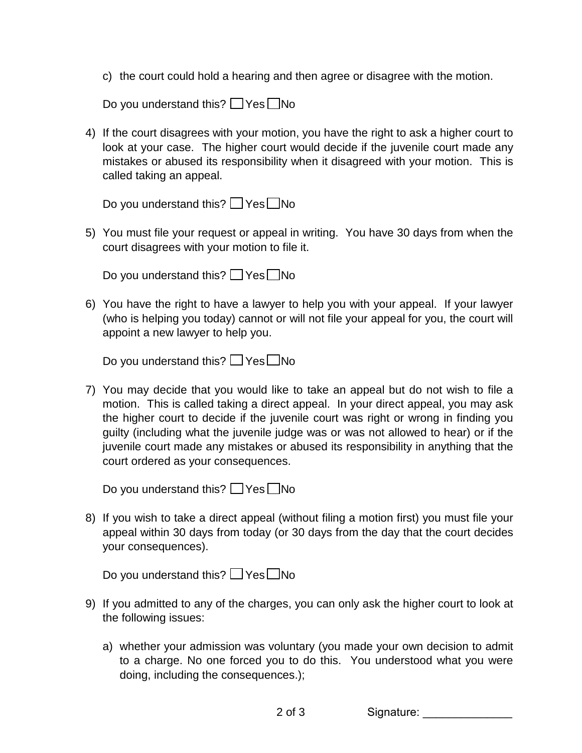c) the court could hold a hearing and then agree or disagree with the motion.

Do you understand this?  $\Box$  Yes  $\Box$  No

4) If the court disagrees with your motion, you have the right to ask a higher court to look at your case. The higher court would decide if the juvenile court made any mistakes or abused its responsibility when it disagreed with your motion. This is called taking an appeal.

Do you understand this?  $\Box$  Yes  $\Box$  No

5) You must file your request or appeal in writing. You have 30 days from when the court disagrees with your motion to file it.

Do you understand this?  $\Box$  Yes  $\Box$  No

6) You have the right to have a lawyer to help you with your appeal. If your lawyer (who is helping you today) cannot or will not file your appeal for you, the court will appoint a new lawyer to help you.

Do you understand this?  $\Box$  Yes  $\Box$  No

7) You may decide that you would like to take an appeal but do not wish to file a motion. This is called taking a direct appeal. In your direct appeal, you may ask the higher court to decide if the juvenile court was right or wrong in finding you guilty (including what the juvenile judge was or was not allowed to hear) or if the juvenile court made any mistakes or abused its responsibility in anything that the court ordered as your consequences.

Do you understand this?  $\Box$  Yes  $\Box$  No

8) If you wish to take a direct appeal (without filing a motion first) you must file your appeal within 30 days from today (or 30 days from the day that the court decides your consequences).

Do you understand this?  $\Box$  Yes  $\Box$  No

- 9) If you admitted to any of the charges, you can only ask the higher court to look at the following issues:
	- a) whether your admission was voluntary (you made your own decision to admit to a charge. No one forced you to do this. You understood what you were doing, including the consequences.);

2 of 3 Signature: \_\_\_\_\_\_\_\_\_\_\_\_\_\_